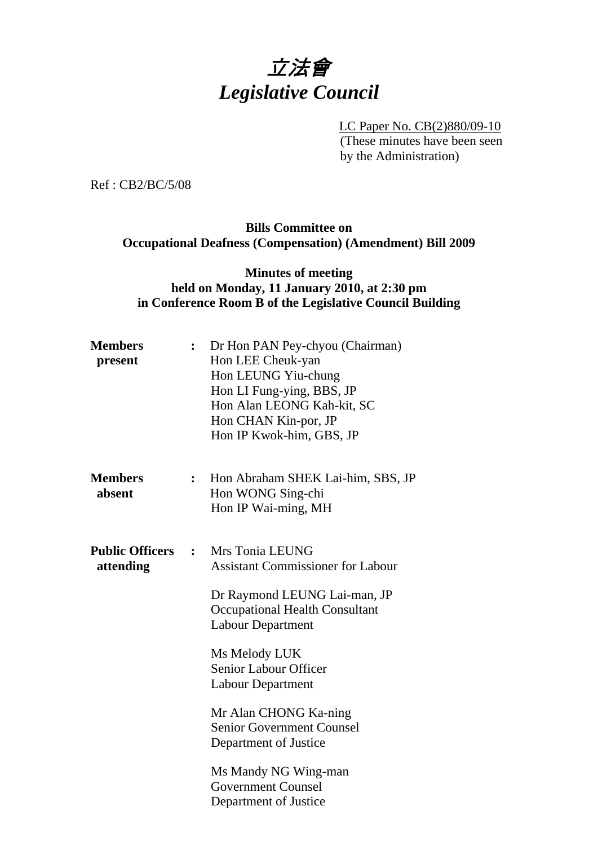# 立法會 *Legislative Council*

LC Paper No. CB(2)880/09-10 (These minutes have been seen by the Administration)

Ref : CB2/BC/5/08

## **Bills Committee on Occupational Deafness (Compensation) (Amendment) Bill 2009**

#### **Minutes of meeting held on Monday, 11 January 2010, at 2:30 pm in Conference Room B of the Legislative Council Building**

| <b>Members</b><br>present           | $\overset{\bullet}{\bullet}$ | Dr Hon PAN Pey-chyou (Chairman)<br>Hon LEE Cheuk-yan<br>Hon LEUNG Yiu-chung<br>Hon LI Fung-ying, BBS, JP<br>Hon Alan LEONG Kah-kit, SC<br>Hon CHAN Kin-por, JP<br>Hon IP Kwok-him, GBS, JP |
|-------------------------------------|------------------------------|--------------------------------------------------------------------------------------------------------------------------------------------------------------------------------------------|
| <b>Members</b><br>absent            | $\ddot{\cdot}$               | Hon Abraham SHEK Lai-him, SBS, JP<br>Hon WONG Sing-chi<br>Hon IP Wai-ming, MH                                                                                                              |
| <b>Public Officers</b><br>attending | $\ddot{\cdot}$               | Mrs Tonia LEUNG<br><b>Assistant Commissioner for Labour</b>                                                                                                                                |
|                                     |                              | Dr Raymond LEUNG Lai-man, JP<br><b>Occupational Health Consultant</b><br><b>Labour Department</b>                                                                                          |
|                                     |                              | Ms Melody LUK<br><b>Senior Labour Officer</b><br><b>Labour Department</b>                                                                                                                  |
|                                     |                              | Mr Alan CHONG Ka-ning<br><b>Senior Government Counsel</b><br>Department of Justice                                                                                                         |
|                                     |                              | Ms Mandy NG Wing-man<br><b>Government Counsel</b><br>Department of Justice                                                                                                                 |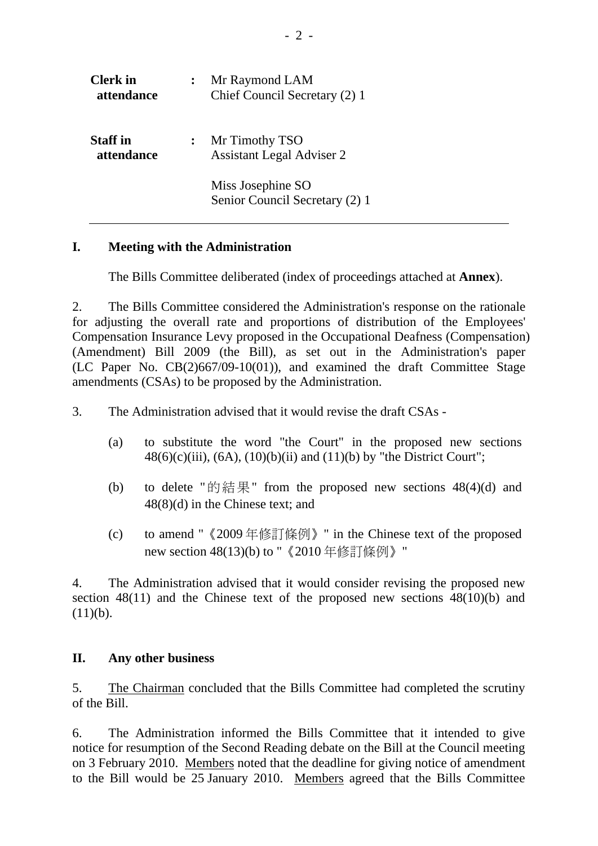| <b>Clerk</b> in<br>attendance | Mr Raymond LAM<br>Chief Council Secretary (2) 1     |
|-------------------------------|-----------------------------------------------------|
| <b>Staff</b> in<br>attendance | Mr Timothy TSO<br><b>Assistant Legal Adviser 2</b>  |
|                               | Miss Josephine SO<br>Senior Council Secretary (2) 1 |

### **I. Meeting with the Administration**

1. The Bills Committee deliberated (index of proceedings attached at **Annex**).

2. The Bills Committee considered the Administration's response on the rationale for adjusting the overall rate and proportions of distribution of the Employees' Compensation Insurance Levy proposed in the Occupational Deafness (Compensation) (Amendment) Bill 2009 (the Bill), as set out in the Administration's paper (LC Paper No. CB(2)667/09-10(01)), and examined the draft Committee Stage amendments (CSAs) to be proposed by the Administration.

3. The Administration advised that it would revise the draft CSAs -

- (a) to substitute the word "the Court" in the proposed new sections  $48(6)(c)(iii)$ ,  $(6A)$ ,  $(10)(b)(ii)$  and  $(11)(b)$  by "the District Court";
- (b) to delete "的結果" from the proposed new sections  $48(4)(d)$  and 48(8)(d) in the Chinese text; and
- (c) to amend "《2009 年修訂條例》" in the Chinese text of the proposed new section 48(13)(b) to " 《2010 年修訂條例》"

4. The Administration advised that it would consider revising the proposed new section 48(11) and the Chinese text of the proposed new sections 48(10)(b) and  $(11)(b)$ .

### **II. Any other business**

5. The Chairman concluded that the Bills Committee had completed the scrutiny of the Bill.

6. The Administration informed the Bills Committee that it intended to give notice for resumption of the Second Reading debate on the Bill at the Council meeting on 3 February 2010. Members noted that the deadline for giving notice of amendment to the Bill would be 25 January 2010. Members agreed that the Bills Committee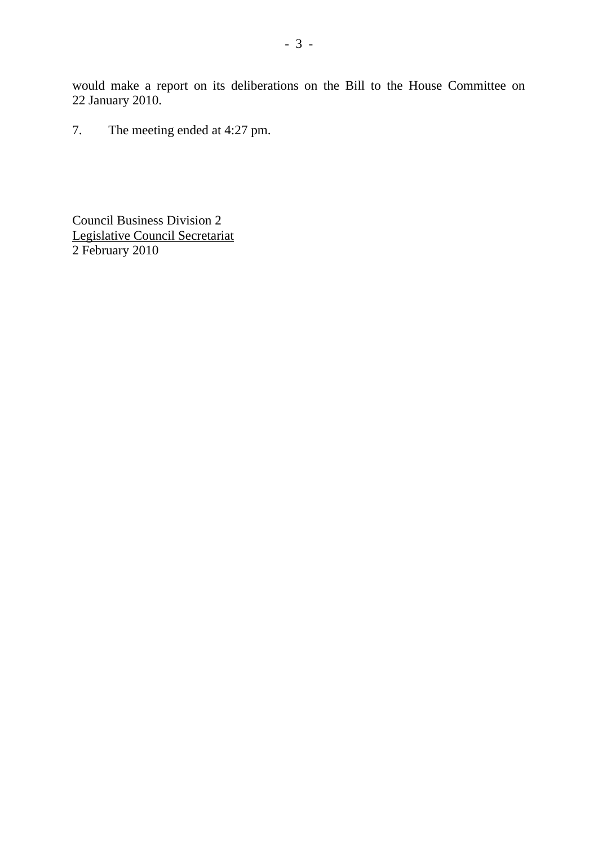would make a report on its deliberations on the Bill to the House Committee on 22 January 2010.

7. The meeting ended at 4:27 pm.

Council Business Division 2 Legislative Council Secretariat 2 February 2010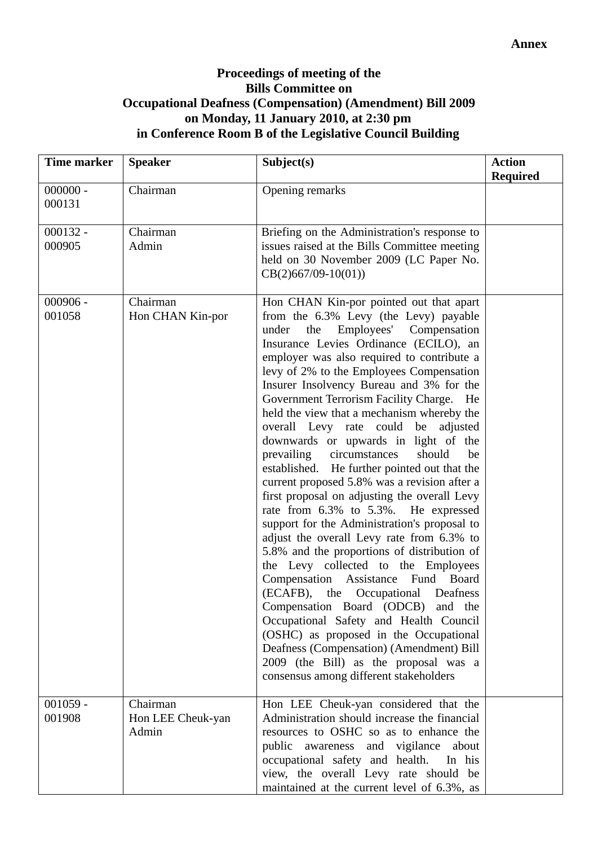## **Proceedings of meeting of the Bills Committee on Occupational Deafness (Compensation) (Amendment) Bill 2009 on Monday, 11 January 2010, at 2:30 pm in Conference Room B of the Legislative Council Building**

| Time marker          | <b>Speaker</b>                         | Subject(s)                                                                                                                                                                                                                                                                                                                                                                                                                                                                                                                                                                                                                                                                                                                                                                                                                                                                                                                                                                                                                                                                                                                                                                                                                                         | <b>Action</b><br><b>Required</b> |
|----------------------|----------------------------------------|----------------------------------------------------------------------------------------------------------------------------------------------------------------------------------------------------------------------------------------------------------------------------------------------------------------------------------------------------------------------------------------------------------------------------------------------------------------------------------------------------------------------------------------------------------------------------------------------------------------------------------------------------------------------------------------------------------------------------------------------------------------------------------------------------------------------------------------------------------------------------------------------------------------------------------------------------------------------------------------------------------------------------------------------------------------------------------------------------------------------------------------------------------------------------------------------------------------------------------------------------|----------------------------------|
| $000000 -$<br>000131 | Chairman                               | Opening remarks                                                                                                                                                                                                                                                                                                                                                                                                                                                                                                                                                                                                                                                                                                                                                                                                                                                                                                                                                                                                                                                                                                                                                                                                                                    |                                  |
| $000132 -$<br>000905 | Chairman<br>Admin                      | Briefing on the Administration's response to<br>issues raised at the Bills Committee meeting<br>held on 30 November 2009 (LC Paper No.<br>$CB(2)667/09-10(01))$                                                                                                                                                                                                                                                                                                                                                                                                                                                                                                                                                                                                                                                                                                                                                                                                                                                                                                                                                                                                                                                                                    |                                  |
| $000906 -$<br>001058 | Chairman<br>Hon CHAN Kin-por           | Hon CHAN Kin-por pointed out that apart<br>from the 6.3% Levy (the Levy) payable<br>Employees' Compensation<br>the<br>under<br>Insurance Levies Ordinance (ECILO), an<br>employer was also required to contribute a<br>levy of 2% to the Employees Compensation<br>Insurer Insolvency Bureau and 3% for the<br>Government Terrorism Facility Charge. He<br>held the view that a mechanism whereby the<br>overall Levy rate could be<br>adjusted<br>downwards or upwards in light of the<br>prevailing circumstances<br>should<br>be<br>established. He further pointed out that the<br>current proposed 5.8% was a revision after a<br>first proposal on adjusting the overall Levy<br>rate from 6.3% to 5.3%. He expressed<br>support for the Administration's proposal to<br>adjust the overall Levy rate from 6.3% to<br>5.8% and the proportions of distribution of<br>the Levy collected to the Employees<br>Compensation Assistance Fund Board<br>(ECAFB), the Occupational Deafness<br>Compensation Board (ODCB) and the<br>Occupational Safety and Health Council<br>(OSHC) as proposed in the Occupational<br>Deafness (Compensation) (Amendment) Bill<br>2009 (the Bill) as the proposal was a<br>consensus among different stakeholders |                                  |
| $001059 -$<br>001908 | Chairman<br>Hon LEE Cheuk-yan<br>Admin | Hon LEE Cheuk-yan considered that the<br>Administration should increase the financial<br>resources to OSHC so as to enhance the<br>public awareness and vigilance<br>about<br>occupational safety and health.<br>In his<br>view, the overall Levy rate should be<br>maintained at the current level of 6.3%, as                                                                                                                                                                                                                                                                                                                                                                                                                                                                                                                                                                                                                                                                                                                                                                                                                                                                                                                                    |                                  |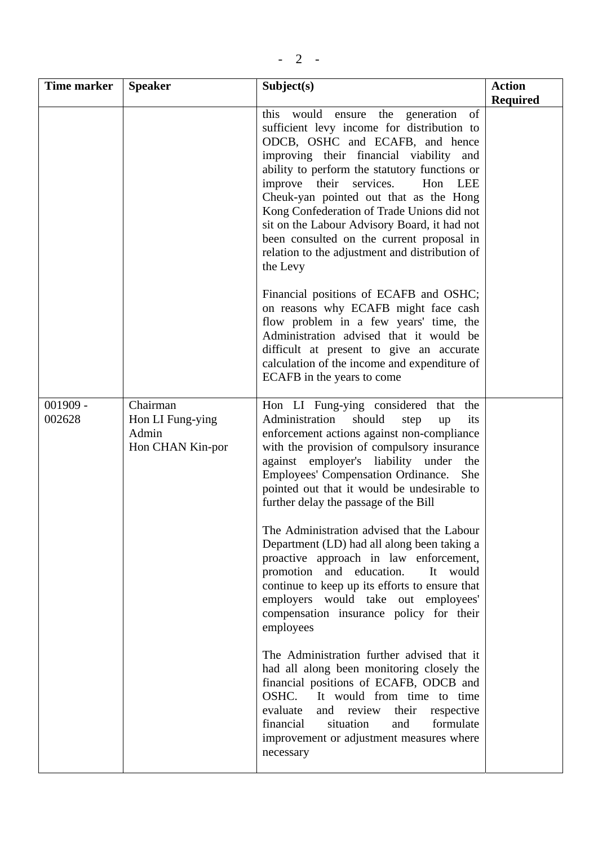|--|--|--|--|

| Time marker          | <b>Speaker</b>                                            | Subject(s)                                                                                                                                                                                                                                                                                                                                                                                                                                                                                                   | <b>Action</b><br><b>Required</b> |
|----------------------|-----------------------------------------------------------|--------------------------------------------------------------------------------------------------------------------------------------------------------------------------------------------------------------------------------------------------------------------------------------------------------------------------------------------------------------------------------------------------------------------------------------------------------------------------------------------------------------|----------------------------------|
|                      |                                                           | the generation of<br>this would ensure<br>sufficient levy income for distribution to<br>ODCB, OSHC and ECAFB, and hence<br>improving their financial viability and<br>ability to perform the statutory functions or<br>improve their services.<br>Hon LEE<br>Cheuk-yan pointed out that as the Hong<br>Kong Confederation of Trade Unions did not<br>sit on the Labour Advisory Board, it had not<br>been consulted on the current proposal in<br>relation to the adjustment and distribution of<br>the Levy |                                  |
|                      |                                                           | Financial positions of ECAFB and OSHC;<br>on reasons why ECAFB might face cash<br>flow problem in a few years' time, the<br>Administration advised that it would be<br>difficult at present to give an accurate<br>calculation of the income and expenditure of<br>ECAFB in the years to come                                                                                                                                                                                                                |                                  |
| $001909 -$<br>002628 | Chairman<br>Hon LI Fung-ying<br>Admin<br>Hon CHAN Kin-por | Hon LI Fung-ying considered that<br>the<br>Administration should<br>its<br>step<br>up<br>enforcement actions against non-compliance<br>with the provision of compulsory insurance<br>against employer's liability under<br>the<br>Employees' Compensation Ordinance.<br>She<br>pointed out that it would be undesirable to<br>further delay the passage of the Bill                                                                                                                                          |                                  |
|                      |                                                           | The Administration advised that the Labour<br>Department (LD) had all along been taking a<br>proactive approach in law enforcement,<br>promotion and education.<br>It would<br>continue to keep up its efforts to ensure that<br>employers would take out employees'<br>compensation insurance policy for their<br>employees                                                                                                                                                                                 |                                  |
|                      |                                                           | The Administration further advised that it<br>had all along been monitoring closely the<br>financial positions of ECAFB, ODCB and<br>OSHC.<br>It would from time to time<br>evaluate<br>and review<br>their<br>respective<br>financial<br>situation<br>formulate<br>and<br>improvement or adjustment measures where<br>necessary                                                                                                                                                                             |                                  |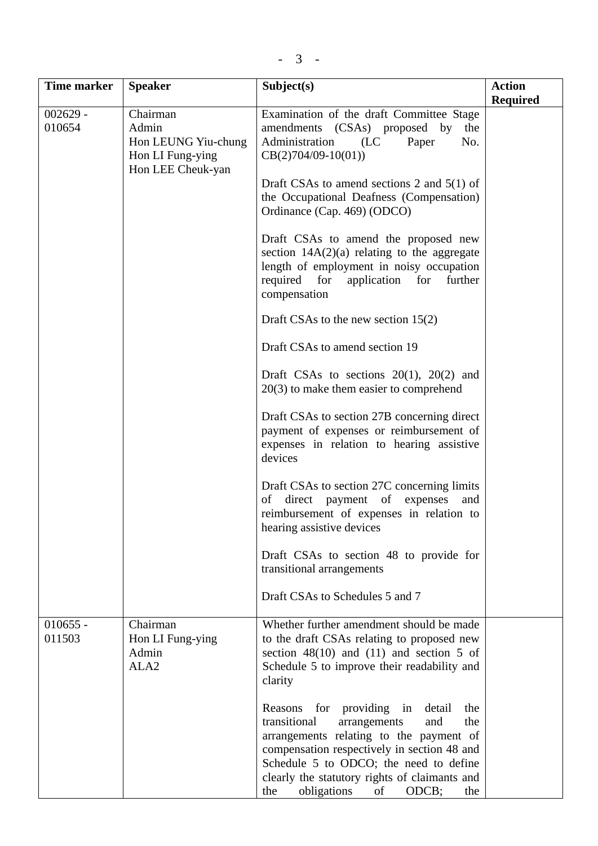| Time marker          | <b>Speaker</b>                                                                    | Subject(s)                                                                                                                                                                                                                                                                                                                  | <b>Action</b>   |
|----------------------|-----------------------------------------------------------------------------------|-----------------------------------------------------------------------------------------------------------------------------------------------------------------------------------------------------------------------------------------------------------------------------------------------------------------------------|-----------------|
|                      |                                                                                   |                                                                                                                                                                                                                                                                                                                             | <b>Required</b> |
| $002629 -$<br>010654 | Chairman<br>Admin<br>Hon LEUNG Yiu-chung<br>Hon LI Fung-ying<br>Hon LEE Cheuk-yan | Examination of the draft Committee Stage<br>amendments (CSAs) proposed by<br>the<br>Administration<br>(LC)<br>Paper<br>No.<br>$CB(2)704/09-10(01))$                                                                                                                                                                         |                 |
|                      |                                                                                   | Draft CSAs to amend sections 2 and $5(1)$ of<br>the Occupational Deafness (Compensation)<br>Ordinance (Cap. 469) (ODCO)                                                                                                                                                                                                     |                 |
|                      |                                                                                   | Draft CSAs to amend the proposed new<br>section $14A(2)(a)$ relating to the aggregate<br>length of employment in noisy occupation<br>required for<br>application for<br>further<br>compensation                                                                                                                             |                 |
|                      |                                                                                   | Draft CSAs to the new section $15(2)$                                                                                                                                                                                                                                                                                       |                 |
|                      |                                                                                   | Draft CSAs to amend section 19                                                                                                                                                                                                                                                                                              |                 |
|                      |                                                                                   | Draft CSAs to sections $20(1)$ , $20(2)$ and<br>$20(3)$ to make them easier to comprehend                                                                                                                                                                                                                                   |                 |
|                      |                                                                                   | Draft CSAs to section 27B concerning direct<br>payment of expenses or reimbursement of<br>expenses in relation to hearing assistive<br>devices                                                                                                                                                                              |                 |
|                      |                                                                                   | Draft CSAs to section 27C concerning limits<br>direct payment of expenses<br>of<br>and<br>reimbursement of expenses in relation to<br>hearing assistive devices                                                                                                                                                             |                 |
|                      |                                                                                   | Draft CSAs to section 48 to provide for<br>transitional arrangements                                                                                                                                                                                                                                                        |                 |
|                      |                                                                                   | Draft CSAs to Schedules 5 and 7                                                                                                                                                                                                                                                                                             |                 |
| $010655 -$<br>011503 | Chairman<br>Hon LI Fung-ying<br>Admin<br>ALA <sub>2</sub>                         | Whether further amendment should be made<br>to the draft CSAs relating to proposed new<br>section $48(10)$ and $(11)$ and section 5 of<br>Schedule 5 to improve their readability and<br>clarity                                                                                                                            |                 |
|                      |                                                                                   | for providing in<br>Reasons<br>detail<br>the<br>transitional<br>the<br>arrangements<br>and<br>arrangements relating to the payment of<br>compensation respectively in section 48 and<br>Schedule 5 to ODCO; the need to define<br>clearly the statutory rights of claimants and<br>obligations<br>of<br>ODCB;<br>the<br>the |                 |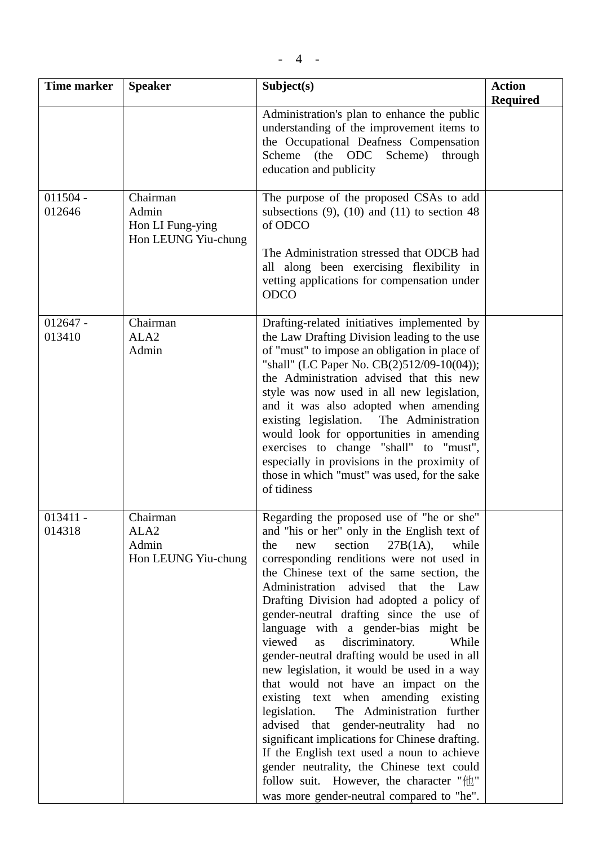| <b>Time marker</b>   | <b>Speaker</b>                                               | Subject(s)                                                                                                                                                                                                                                                                                                                                                                                                                                                                                                                                                                                                                                                                                                                                                                                                                                                                                                                                                      | <b>Action</b><br><b>Required</b> |
|----------------------|--------------------------------------------------------------|-----------------------------------------------------------------------------------------------------------------------------------------------------------------------------------------------------------------------------------------------------------------------------------------------------------------------------------------------------------------------------------------------------------------------------------------------------------------------------------------------------------------------------------------------------------------------------------------------------------------------------------------------------------------------------------------------------------------------------------------------------------------------------------------------------------------------------------------------------------------------------------------------------------------------------------------------------------------|----------------------------------|
|                      |                                                              | Administration's plan to enhance the public<br>understanding of the improvement items to<br>the Occupational Deafness Compensation<br>Scheme (the ODC Scheme) through<br>education and publicity                                                                                                                                                                                                                                                                                                                                                                                                                                                                                                                                                                                                                                                                                                                                                                |                                  |
| $011504 -$<br>012646 | Chairman<br>Admin<br>Hon LI Fung-ying<br>Hon LEUNG Yiu-chung | The purpose of the proposed CSAs to add<br>subsections $(9)$ , $(10)$ and $(11)$ to section 48<br>of ODCO<br>The Administration stressed that ODCB had<br>all along been exercising flexibility in<br>vetting applications for compensation under<br><b>ODCO</b>                                                                                                                                                                                                                                                                                                                                                                                                                                                                                                                                                                                                                                                                                                |                                  |
| $012647 -$<br>013410 | Chairman<br>ALA <sub>2</sub><br>Admin                        | Drafting-related initiatives implemented by<br>the Law Drafting Division leading to the use<br>of "must" to impose an obligation in place of<br>"shall" (LC Paper No. CB(2)512/09-10(04));<br>the Administration advised that this new<br>style was now used in all new legislation,<br>and it was also adopted when amending<br>existing legislation. The Administration<br>would look for opportunities in amending<br>exercises to change "shall" to "must",<br>especially in provisions in the proximity of<br>those in which "must" was used, for the sake<br>of tidiness                                                                                                                                                                                                                                                                                                                                                                                  |                                  |
| $013411 -$<br>014318 | Chairman<br>ALA <sub>2</sub><br>Admin<br>Hon LEUNG Yiu-chung | Regarding the proposed use of "he or she"<br>and "his or her" only in the English text of<br>section $27B(1A)$ ,<br>while<br>the<br>new<br>corresponding renditions were not used in<br>the Chinese text of the same section, the<br>Administration advised that the Law<br>Drafting Division had adopted a policy of<br>gender-neutral drafting since the use of<br>language with a gender-bias might be<br>viewed<br>discriminatory.<br>as<br>While<br>gender-neutral drafting would be used in all<br>new legislation, it would be used in a way<br>that would not have an impact on the<br>existing text when amending existing<br>legislation.<br>The Administration further<br>advised that gender-neutrality had no<br>significant implications for Chinese drafting.<br>If the English text used a noun to achieve<br>gender neutrality, the Chinese text could<br>follow suit. However, the character "他"<br>was more gender-neutral compared to "he". |                                  |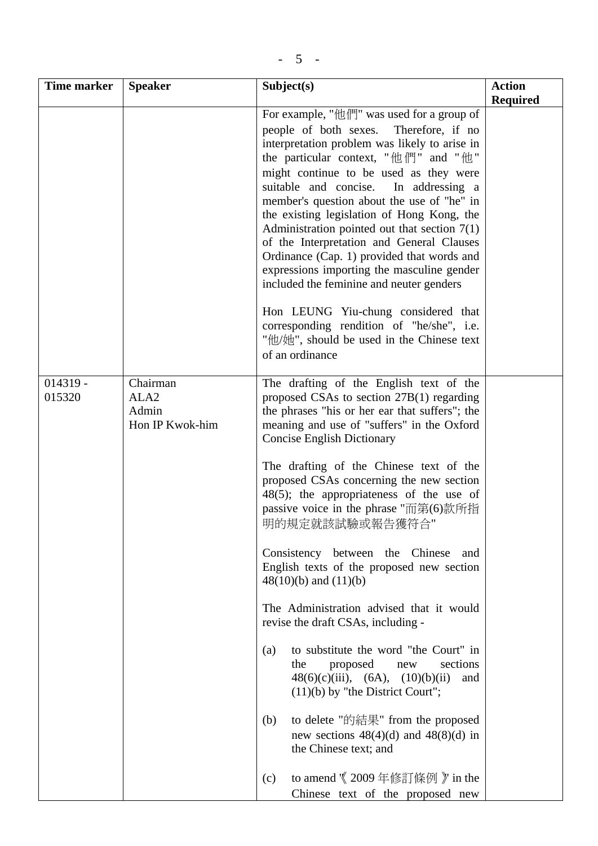| <b>Time marker</b>   | <b>Speaker</b>                                           | Subject(s)                                                                                                                                                                                                                                                                                                                                                                                                                                                                                                                                                                                                                                                                                                                                                                                                                                                                                                                                                                                                     | <b>Action</b>   |
|----------------------|----------------------------------------------------------|----------------------------------------------------------------------------------------------------------------------------------------------------------------------------------------------------------------------------------------------------------------------------------------------------------------------------------------------------------------------------------------------------------------------------------------------------------------------------------------------------------------------------------------------------------------------------------------------------------------------------------------------------------------------------------------------------------------------------------------------------------------------------------------------------------------------------------------------------------------------------------------------------------------------------------------------------------------------------------------------------------------|-----------------|
|                      |                                                          |                                                                                                                                                                                                                                                                                                                                                                                                                                                                                                                                                                                                                                                                                                                                                                                                                                                                                                                                                                                                                | <b>Required</b> |
|                      |                                                          | For example, "他們" was used for a group of<br>people of both sexes.<br>Therefore, if no<br>interpretation problem was likely to arise in<br>the particular context, " $\#$ $\#$ " and " $\#$ "<br>might continue to be used as they were<br>suitable and concise.<br>In addressing a<br>member's question about the use of "he" in<br>the existing legislation of Hong Kong, the<br>Administration pointed out that section $7(1)$<br>of the Interpretation and General Clauses<br>Ordinance (Cap. 1) provided that words and<br>expressions importing the masculine gender<br>included the feminine and neuter genders                                                                                                                                                                                                                                                                                                                                                                                         |                 |
|                      |                                                          | Hon LEUNG Yiu-chung considered that<br>corresponding rendition of "he/she", i.e.<br>"他/她", should be used in the Chinese text<br>of an ordinance                                                                                                                                                                                                                                                                                                                                                                                                                                                                                                                                                                                                                                                                                                                                                                                                                                                               |                 |
| $014319 -$<br>015320 | Chairman<br>ALA <sub>2</sub><br>Admin<br>Hon IP Kwok-him | The drafting of the English text of the<br>proposed CSAs to section 27B(1) regarding<br>the phrases "his or her ear that suffers"; the<br>meaning and use of "suffers" in the Oxford<br><b>Concise English Dictionary</b><br>The drafting of the Chinese text of the<br>proposed CSAs concerning the new section<br>48(5); the appropriateness of the use of<br>passive voice in the phrase "而第(6)款所指<br>明的規定就該試驗或報告獲符合"<br>Consistency between the Chinese<br>and<br>English texts of the proposed new section<br>$48(10)(b)$ and $(11)(b)$<br>The Administration advised that it would<br>revise the draft CSAs, including -<br>to substitute the word "the Court" in<br>(a)<br>sections<br>the<br>proposed<br>new<br>$48(6)(c)(iii)$ , $(6A)$ , $(10)(b)(ii)$<br>and<br>$(11)(b)$ by "the District Court";<br>to delete "的結果" from the proposed<br>(b)<br>new sections $48(4)(d)$ and $48(8)(d)$ in<br>the Chinese text; and<br>to amend \X 2009 年修訂條例 }' in the<br>(c)<br>Chinese text of the proposed new |                 |